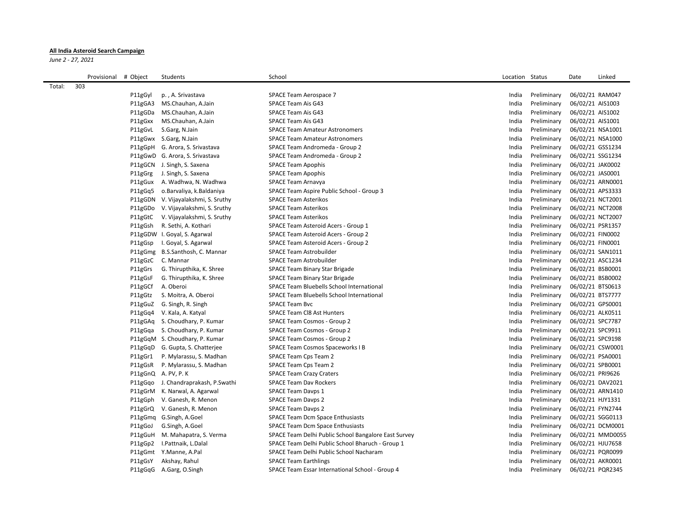## **All India Asteroid Search Campaign**

*June 2 - 27, 2021*

|        | Provisional | # Object | Students                             | School                                               | Location Status |             | Date             | Linked           |
|--------|-------------|----------|--------------------------------------|------------------------------------------------------|-----------------|-------------|------------------|------------------|
| Total: | 303         |          |                                      |                                                      |                 |             |                  |                  |
|        |             | P11gGyl  | p., A. Srivastava                    | SPACE Team Aerospace 7                               | India           | Preliminary | 06/02/21 RAM047  |                  |
|        |             | P11gGA3  | MS.Chauhan, A.Jain                   | SPACE Team Ais G43                                   | India           | Preliminary | 06/02/21 AIS1003 |                  |
|        |             | P11gGDa  | MS.Chauhan, A.Jain                   | SPACE Team Ais G43                                   | India           | Preliminary | 06/02/21 AIS1002 |                  |
|        |             | P11gGxx  | MS.Chauhan, A.Jain                   | SPACE Team Ais G43                                   | India           | Preliminary | 06/02/21 AIS1001 |                  |
|        |             | P11gGvL  | S.Garg, N.Jain                       | <b>SPACE Team Amateur Astronomers</b>                | India           | Preliminary | 06/02/21 NSA1001 |                  |
|        |             |          | P11gGwx S.Garg, N.Jain               | <b>SPACE Team Amateur Astronomers</b>                | India           | Preliminary | 06/02/21 NSA1000 |                  |
|        |             |          | P11gGpH G. Arora, S. Srivastava      | SPACE Team Andromeda - Group 2                       | India           | Preliminary | 06/02/21 GSS1234 |                  |
|        |             |          | P11gGwD G. Arora, S. Srivastava      | SPACE Team Andromeda - Group 2                       | India           | Preliminary | 06/02/21 SSG1234 |                  |
|        |             |          | P11gGCN J. Singh, S. Saxena          | <b>SPACE Team Apophis</b>                            | India           | Preliminary | 06/02/21 JAK0002 |                  |
|        |             | P11gGrg  | J. Singh, S. Saxena                  | <b>SPACE Team Apophis</b>                            | India           | Preliminary | 06/02/21 JAS0001 |                  |
|        |             | P11gGux  | A. Wadhwa, N. Wadhwa                 | <b>SPACE Team Arnavya</b>                            | India           | Preliminary | 06/02/21 ARN0001 |                  |
|        |             | P11gGq5  | o.Barvaliya, k.Baldaniya             | SPACE Team Aspire Public School - Group 3            | India           | Preliminary | 06/02/21 APS3333 |                  |
|        |             |          | P11gGDN V. Vijayalakshmi, S. Sruthy  | <b>SPACE Team Asterikos</b>                          | India           | Preliminary | 06/02/21 NCT2001 |                  |
|        |             | P11gGDo  | V. Vijayalakshmi, S. Sruthy          | <b>SPACE Team Asterikos</b>                          | India           | Preliminary | 06/02/21 NCT2008 |                  |
|        |             | P11gGtC  | V. Vijayalakshmi, S. Sruthy          | <b>SPACE Team Asterikos</b>                          | India           | Preliminary | 06/02/21 NCT2007 |                  |
|        |             | P11gGsh  | R. Sethi, A. Kothari                 | SPACE Team Asteroid Acers - Group 1                  | India           | Preliminary | 06/02/21 PSR1357 |                  |
|        |             |          | P11gGDW I. Goyal, S. Agarwal         | SPACE Team Asteroid Acers - Group 2                  | India           | Preliminary | 06/02/21 FIN0002 |                  |
|        |             | P11gGsp  | I. Goyal, S. Agarwal                 | SPACE Team Asteroid Acers - Group 2                  | India           | Preliminary | 06/02/21 FIN0001 |                  |
|        |             |          | P11gGmg B.S.Santhosh, C. Mannar      | <b>SPACE Team Astrobuilder</b>                       | India           | Preliminary | 06/02/21 SAN1011 |                  |
|        |             |          | P11gGzC C. Mannar                    | <b>SPACE Team Astrobuilder</b>                       | India           | Preliminary | 06/02/21 ASC1234 |                  |
|        |             | P11gGrs  | G. Thirupthika, K. Shree             | SPACE Team Binary Star Brigade                       | India           | Preliminary | 06/02/21 BSB0001 |                  |
|        |             | P11gGsF  | G. Thirupthika, K. Shree             | SPACE Team Binary Star Brigade                       | India           | Preliminary | 06/02/21 BSB0002 |                  |
|        |             | P11gGCf  | A. Oberoi                            | SPACE Team Bluebells School International            | India           | Preliminary | 06/02/21 BTS0613 |                  |
|        |             | P11gGtz  | S. Moitra, A. Oberoi                 | SPACE Team Bluebells School International            | India           | Preliminary | 06/02/21 BTS7777 |                  |
|        |             | P11gGuZ  | G. Singh, R. Singh                   | <b>SPACE Team Bvc</b>                                | India           | Preliminary | 06/02/21 GPS0001 |                  |
|        |             |          | P11gGq4 V. Kala, A. Katyal           | <b>SPACE Team CI8 Ast Hunters</b>                    | India           | Preliminary | 06/02/21 ALK0511 |                  |
|        |             |          | P11gGAq S. Choudhary, P. Kumar       | SPACE Team Cosmos - Group 2                          | India           | Preliminary | 06/02/21 SPC7787 |                  |
|        |             |          | P11gGqa S. Choudhary, P. Kumar       | SPACE Team Cosmos - Group 2                          | India           | Preliminary | 06/02/21 SPC9911 |                  |
|        |             |          | P11gGqM S. Choudhary, P. Kumar       | SPACE Team Cosmos - Group 2                          | India           | Preliminary | 06/02/21 SPC9198 |                  |
|        |             |          | P11gGqD G. Gupta, S. Chatterjee      | SPACE Team Cosmos Spaceworks I B                     | India           | Preliminary | 06/02/21 CSW0001 |                  |
|        |             | P11gGr1  | P. Mylarassu, S. Madhan              | <b>SPACE Team Cps Team 2</b>                         | India           | Preliminary | 06/02/21 PSA0001 |                  |
|        |             | P11gGsR  | P. Mylarassu, S. Madhan              | SPACE Team Cps Team 2                                | India           | Preliminary | 06/02/21 SPB0001 |                  |
|        |             |          | P11gGnQ A. PV, P. K                  | <b>SPACE Team Crazy Craters</b>                      | India           | Preliminary | 06/02/21 PRI9626 |                  |
|        |             |          | P11gGqo J. Chandraprakash, P. Swathi | <b>SPACE Team Dav Rockers</b>                        | India           | Preliminary | 06/02/21 DAV2021 |                  |
|        |             |          | P11gGrM K. Narwal, A. Agarwal        | SPACE Team Davps 1                                   | India           | Preliminary | 06/02/21 ARN1410 |                  |
|        |             | P11gGph  | V. Ganesh, R. Menon                  | <b>SPACE Team Davps 2</b>                            | India           | Preliminary | 06/02/21 HJY1331 |                  |
|        |             |          | P11gGrQ V. Ganesh, R. Menon          | <b>SPACE Team Davps 2</b>                            | India           | Preliminary | 06/02/21 FYN2744 |                  |
|        |             |          | P11gGmq G.Singh, A.Goel              | <b>SPACE Team Dcm Space Enthusiasts</b>              | India           | Preliminary | 06/02/21 SGG0113 |                  |
|        |             | P11gGoJ  | G.Singh, A.Goel                      | <b>SPACE Team Dcm Space Enthusiasts</b>              | India           | Preliminary | 06/02/21 DCM0001 |                  |
|        |             |          | P11gGuH M. Mahapatra, S. Verma       | SPACE Team Delhi Public School Bangalore East Survey | India           | Preliminary |                  | 06/02/21 MMD0055 |
|        |             | P11gGp2  | I.Pattnaik, L.Dalal                  | SPACE Team Delhi Public School Bharuch - Group 1     | India           | Preliminary | 06/02/21 HJU7658 |                  |
|        |             |          | P11gGmt Y.Manne, A.Pal               | SPACE Team Delhi Public School Nacharam              | India           | Preliminary | 06/02/21 PQR0099 |                  |
|        |             | P11gGsY  | Akshay, Rahul                        | <b>SPACE Team Earthlings</b>                         | India           | Preliminary | 06/02/21 AKR0001 |                  |
|        |             |          | P11gGqG A.Garg, O.Singh              | SPACE Team Essar International School - Group 4      | India           | Preliminary | 06/02/21 PQR2345 |                  |
|        |             |          |                                      |                                                      |                 |             |                  |                  |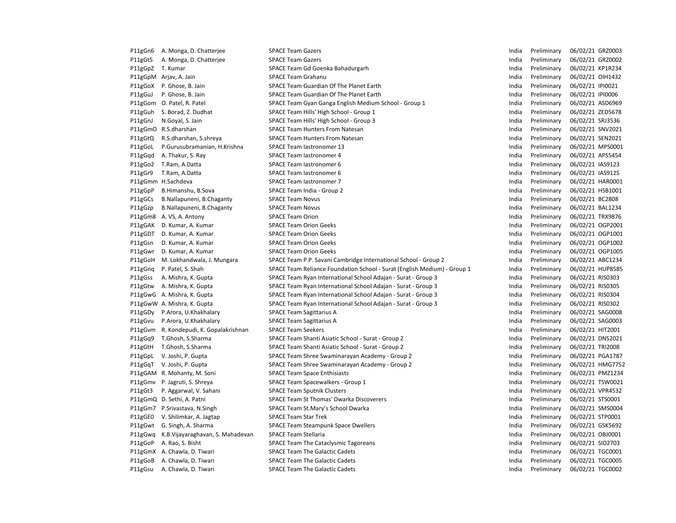| P11gGn6 | A. Monga, D. Chatterjee           | <b>SPACE Team Gazers</b>                                                 | India | Preliminary | 06/02/21 GRZ0003 |
|---------|-----------------------------------|--------------------------------------------------------------------------|-------|-------------|------------------|
| P11gGt5 | A. Monga, D. Chatterjee           | <b>SPACE Team Gazers</b>                                                 | India | Preliminary | 06/02/21 GRZ0002 |
| P11gGpZ | T. Kumar                          | SPACE Team Gd Goenka Bahadurgarh                                         | India | Preliminary | 06/02/21 KP1R234 |
| P11gGpM | Arjav, A. Jain                    | <b>SPACE Team Grahanu</b>                                                | India | Preliminary | 06/02/21 OIH1432 |
| P11gGoX | P. Ghose, B. Jain                 | SPACE Team Guardian Of The Planet Earth                                  | India | Preliminary | 06/02/21 IPI0021 |
| P11gGuJ | P. Ghose, B. Jain                 | SPACE Team Guardian Of The Planet Earth                                  | India | Preliminary | 06/02/21 IPI0006 |
| P11gGom | O. Patel, R. Patel                | SPACE Team Gyan Ganga English Medium School - Group 1                    | India | Preliminary | 06/02/21 ASD6969 |
| P11gGuh | S. Borad, Z. Dudhat               | SPACE Team Hills' High School - Group 1                                  | India | Preliminary | 06/02/21 ZED5678 |
| P11gGnJ | N.Goyal, S. Jain                  | SPACE Team Hills' High School - Group 3                                  | India | Preliminary | 06/02/21 SRJ3536 |
| P11gGmO | R.S.dharshan                      | <b>SPACE Team Hunters From Natesan</b>                                   | India | Preliminary | 06/02/21 SNV2021 |
| P11gGtQ | R.S.dharshan, S.shreya            | <b>SPACE Team Hunters From Natesan</b>                                   | India | Preliminary | 06/02/21 SEN2021 |
| P11gGoL | P.Gurusubramanian, H.Krishna      | SPACE Team lastronomer 13                                                | India | Preliminary | 06/02/21 MPS0001 |
| P11gGqd | A. Thakur, S. Ray                 | <b>SPACE Team lastronomer 4</b>                                          | India | Preliminary | 06/02/21 APS5454 |
| P11gGo2 | T.Ram, A.Datta                    | SPACE Team lastronomer 6                                                 | India | Preliminary | 06/02/21 IAS9123 |
| P11gGr9 | T.Ram, A.Datta                    | SPACE Team lastronomer 6                                                 | India | Preliminary | 06/02/21 IAS9125 |
|         | P11gGmm H.Sachdeva                | <b>SPACE Team lastronomer 7</b>                                          | India | Preliminary | 06/02/21 HAR0001 |
| P11gGpP | B.Himanshu, B.Sova                | SPACE Team India - Group 2                                               | India | Preliminary | 06/02/21 HSB1001 |
| P11gGCs | B.Nallapuneni, B.Chaganty         | <b>SPACE Team Novus</b>                                                  | India | Preliminary | 06/02/21 BC2808  |
| P11gGzp | B.Nallapuneni, B.Chaganty         | <b>SPACE Team Novus</b>                                                  | India | Preliminary | 06/02/21 BAL1234 |
| P11gGm8 | A. VS, A. Antony                  | <b>SPACE Team Orion</b>                                                  | India | Preliminary | 06/02/21 TRX9876 |
| P11gGAK | D. Kumar, A. Kumar                | <b>SPACE Team Orion Geeks</b>                                            | India | Preliminary | 06/02/21 OGP2001 |
| P11gGDT | D. Kumar, A. Kumar                | <b>SPACE Team Orion Geeks</b>                                            | India | Preliminary | 06/02/21 OGP1001 |
| P11gGsn | D. Kumar, A. Kumar                | <b>SPACE Team Orion Geeks</b>                                            | India | Preliminary | 06/02/21 OGP1002 |
| P11gGwr | D. Kumar, A. Kumar                | <b>SPACE Team Orion Geeks</b>                                            | India | Preliminary | 06/02/21 OGP1005 |
| P11gGoH | M. Lokhandwala, J. Mungara        | SPACE Team P.P. Savani Cambridge International School - Group 2          | India | Preliminary | 06/02/21 ABC1234 |
| P11gGnq | P. Patel, S. Shah                 | SPACE Team Reliance Foundation School - Surat (English Medium) - Group 1 | India | Preliminary | 06/02/21 HUP8585 |
| P11gGss | A. Mishra, K. Gupta               | SPACE Team Ryan International School Adajan - Surat - Group 3            | India | Preliminary | 06/02/21 RIS0303 |
| P11gGtw | A. Mishra, K. Gupta               | SPACE Team Ryan International School Adajan - Surat - Group 3            | India | Preliminary | 06/02/21 RIS0305 |
| P11gGwG | A. Mishra, K. Gupta               | SPACE Team Ryan International School Adajan - Surat - Group 3            | India | Preliminary | 06/02/21 RIS0304 |
|         | P11gGwW A. Mishra, K. Gupta       | SPACE Team Ryan International School Adajan - Surat - Group 3            | India | Preliminary | 06/02/21 RIS0302 |
| P11gGDy | P.Arora, U.Khakhalary             | <b>SPACE Team Sagittarius A</b>                                          | India | Preliminary | 06/02/21 SAG0008 |
| P11gGvu | P.Arora, U.Khakhalary             | <b>SPACE Team Sagittarius A</b>                                          | India | Preliminary | 06/02/21 SAG0003 |
| P11gGvm | R. Kondepudi, K. Gopalakrishnan   | <b>SPACE Team Seekers</b>                                                | India | Preliminary | 06/02/21 HIT2001 |
| P11gGq9 | T.Ghosh, S.Sharma                 | SPACE Team Shanti Asiatic School - Surat - Group 2                       | India | Preliminary | 06/02/21 DNS2021 |
| P11gGtH | T.Ghosh, S.Sharma                 | SPACE Team Shanti Asiatic School - Surat - Group 2                       | India | Preliminary | 06/02/21 TRI2008 |
| P11gGpL | V. Joshi, P. Gupta                | SPACE Team Shree Swaminarayan Academy - Group 2                          | India | Preliminary | 06/02/21 PGA1787 |
| P11gGqT | V. Joshi, P. Gupta                | SPACE Team Shree Swaminarayan Academy - Group 2                          | India | Preliminary | 06/02/21 HMG7752 |
| P11gGAM | R. Mohanty, M. Soni               | <b>SPACE Team Space Enthisiasts</b>                                      | India | Preliminary | 06/02/21 PMZ1234 |
| P11gGmv | P. Jagruti, S. Shreya             | SPACE Team Spacewalkers - Group 1                                        | India | Preliminary | 06/02/21 TSW0021 |
| P11gGt3 | P. Aggarwal, V. Sahani            | <b>SPACE Team Sputnik Clusters</b>                                       | India | Preliminary | 06/02/21 VPR4532 |
|         | P11gGmQ D. Sethi, A. Patni        | SPACE Team St Thomas' Dwarka Discoverers                                 | India | Preliminary | 06/02/21 STS0001 |
| P11gGm7 |                                   | SPACE Team St.Mary's School Dwarka                                       | India | Preliminary | 06/02/21 SMS0004 |
|         | P.Srivastava, N.Singh             |                                                                          | India |             | 06/02/21 STP0001 |
| P11gGE0 | V. Shilimkar, A. Jagtap           | <b>SPACE Team Star Trek</b>                                              |       | Preliminary |                  |
| P11gGwt | G. Singh, A. Sharma               | SPACE Team Steampunk Space Dwellers                                      | India | Preliminary | 06/02/21 GSK5692 |
| P11gGwq | K.B. Vijayaraghavan, S. Mahadevan | <b>SPACE Team Stellaria</b>                                              | India | Preliminary | 06/02/21 OBJ0001 |
| P11gGoP | A. Rao, S. Bisht                  | SPACE Team The Cataclysmic Tagoreans                                     | India | Preliminary | 06/02/21 SID2703 |
| P11gGmX | A. Chawla, D. Tiwari              | <b>SPACE Team The Galactic Cadets</b>                                    | India | Preliminary | 06/02/21 TGC0001 |
| P11gGoB | A. Chawla, D. Tiwari              | <b>SPACE Team The Galactic Cadets</b>                                    | India | Preliminary | 06/02/21 TGC0005 |
| P11gGsu | A. Chawla, D. Tiwari              | <b>SPACE Team The Galactic Cadets</b>                                    | India | Preliminary | 06/02/21 TGC0002 |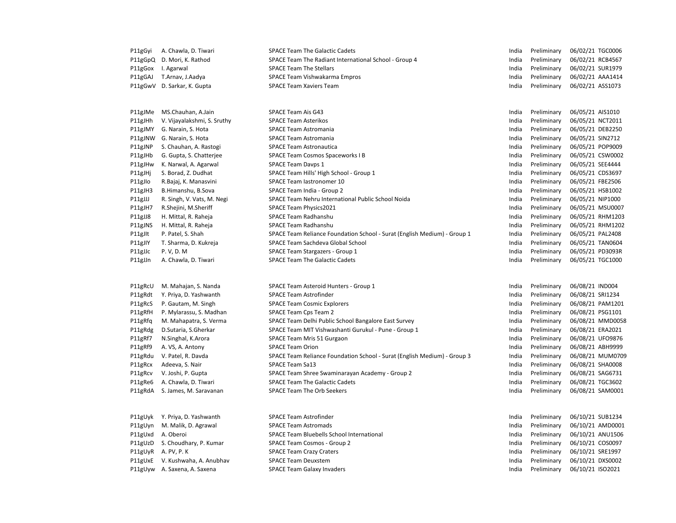| P11gGyi | A. Chawla, D. Tiwari        | <b>SPACE Team The Galactic Cadets</b>                                    | India | Preliminary | 06/02/21 TGC0006                     |
|---------|-----------------------------|--------------------------------------------------------------------------|-------|-------------|--------------------------------------|
| P11gGpQ | D. Mori, K. Rathod          | SPACE Team The Radiant International School - Group 4                    | India | Preliminary | 06/02/21 RCB4567                     |
| P11gGox | I. Agarwal                  | <b>SPACE Team The Stellars</b>                                           | India | Preliminary | 06/02/21 SUR1979                     |
| P11gGAJ | T.Arnav, J.Aadya            | SPACE Team Vishwakarma Empros                                            | India | Preliminary | 06/02/21 AAA1414                     |
| P11gGwV | D. Sarkar, K. Gupta         | <b>SPACE Team Xaviers Team</b>                                           | India | Preliminary | 06/02/21 ASS1073                     |
| P11gJMe | MS.Chauhan, A.Jain          | SPACE Team Ais G43                                                       | India | Preliminary | 06/05/21 AIS1010                     |
| P11gJHh | V. Vijayalakshmi, S. Sruthy | <b>SPACE Team Asterikos</b>                                              | India | Preliminary | 06/05/21 NCT2011                     |
| P11gJMY | G. Narain, S. Hota          | <b>SPACE Team Astromania</b>                                             | India | Preliminary | 06/05/21 DEB2250                     |
| P11gJNW | G. Narain, S. Hota          | <b>SPACE Team Astromania</b>                                             | India | Preliminary | 06/05/21 SIN2712                     |
| P11gJNP | S. Chauhan, A. Rastogi      | <b>SPACE Team Astronautica</b>                                           | India | Preliminary | 06/05/21 POP9009                     |
| P11gJHb | G. Gupta, S. Chatterjee     | <b>SPACE Team Cosmos Spaceworks I B</b>                                  | India | Preliminary | 06/05/21 CSW0002                     |
| P11gJHw | K. Narwal, A. Agarwal       | <b>SPACE Team Davps 1</b>                                                | India | Preliminary | 06/05/21 SEE4444                     |
| P11gJHj | S. Borad, Z. Dudhat         | SPACE Team Hills' High School - Group 1                                  | India | Preliminary | 06/05/21 CDS3697                     |
| P11gJlo | R.Bajaj, K. Manasvini       | SPACE Team lastronomer 10                                                | India | Preliminary | 06/05/21 FBE2506                     |
| P11gJH3 | B.Himanshu, B.Sova          | SPACE Team India - Group 2                                               | India | Preliminary | 06/05/21 HSB1002                     |
|         |                             | SPACE Team Nehru International Public School Noida                       | India | Preliminary | 06/05/21 NIP1000                     |
| P11gJJJ | R. Singh, V. Vats, M. Negi  |                                                                          | India | Preliminary |                                      |
| P11gJH7 | R.Shejini, M.Sheriff        | SPACE Team Physics2021<br>SPACE Team Radhanshu                           | India |             | 06/05/21 MSU0007<br>06/05/21 RHM1203 |
| P11gJJ8 | H. Mittal, R. Raheja        | SPACE Team Radhanshu                                                     |       | Preliminary | 06/05/21 RHM1202                     |
| P11gJNS | H. Mittal, R. Raheja        |                                                                          | India | Preliminary |                                      |
| P11gJlt | P. Patel, S. Shah           | SPACE Team Reliance Foundation School - Surat (English Medium) - Group 1 | India | Preliminary | 06/05/21 PAL2408                     |
| P11gJIY | T. Sharma, D. Kukreja       | SPACE Team Sachdeva Global School                                        | India | Preliminary | 06/05/21 TAN0604                     |
| P11gJJc | P. V, D. M                  | SPACE Team Stargazers - Group 1                                          | India | Preliminary | 06/05/21 PD3093R                     |
| P11gJJn | A. Chawla, D. Tiwari        | <b>SPACE Team The Galactic Cadets</b>                                    | India | Preliminary | 06/05/21 TGC1000                     |
| P11gRcU | M. Mahajan, S. Nanda        | SPACE Team Asteroid Hunters - Group 1                                    | India | Preliminary | 06/08/21 IND004                      |
| P11gRdt | Y. Priya, D. Yashwanth      | <b>SPACE Team Astrofinder</b>                                            | India | Preliminary | 06/08/21 SRI1234                     |
| P11gRcS | P. Gautam, M. Singh         | <b>SPACE Team Cosmic Explorers</b>                                       | India | Preliminary | 06/08/21 PAM1201                     |
| P11gRfH | P. Mylarassu, S. Madhan     | SPACE Team Cps Team 2                                                    | India | Preliminary | 06/08/21 PSG1101                     |
| P11gRfq | M. Mahapatra, S. Verma      | SPACE Team Delhi Public School Bangalore East Survey                     | India | Preliminary | 06/08/21 MMD0058                     |
| P11gRdg | D.Sutaria, S.Gherkar        | SPACE Team MIT Vishwashanti Gurukul - Pune - Group 1                     | India | Preliminary | 06/08/21 ERA2021                     |
| P11gRf7 | N.Singhal, K.Arora          | SPACE Team Mris 51 Gurgaon                                               | India | Preliminary | 06/08/21 UFO9876                     |
| P11gRf9 | A. VS, A. Antony            | <b>SPACE Team Orion</b>                                                  | India | Preliminary | 06/08/21 ABH9999                     |
| P11gRdu | V. Patel, R. Davda          | SPACE Team Reliance Foundation School - Surat (English Medium) - Group 3 | India | Preliminary | 06/08/21 MUM0709                     |
| P11gRcx | Adeeva, S. Nair             | <b>SPACE Team Sa13</b>                                                   | India | Preliminary | 06/08/21 SHA0008                     |
| P11gRcv | V. Joshi, P. Gupta          | SPACE Team Shree Swaminarayan Academy - Group 2                          | India | Preliminary | 06/08/21 SAG6731                     |
| P11gRe6 | A. Chawla, D. Tiwari        | <b>SPACE Team The Galactic Cadets</b>                                    | India | Preliminary | 06/08/21 TGC3602                     |
| P11gRdA | S. James, M. Saravanan      | <b>SPACE Team The Orb Seekers</b>                                        | India | Preliminary | 06/08/21 SAM0001                     |
| P11gUyk | Y. Priya, D. Yashwanth      | <b>SPACE Team Astrofinder</b>                                            | India | Preliminary | 06/10/21 SUB1234                     |
| P11gUyn | M. Malik, D. Agrawal        | <b>SPACE Team Astromads</b>                                              | India | Preliminary | 06/10/21 AMD0001                     |
| P11gUxd | A. Oberoi                   | SPACE Team Bluebells School International                                | India | Preliminary | 06/10/21 ANU1506                     |
| P11gUzD | S. Choudhary, P. Kumar      | SPACE Team Cosmos - Group 2                                              | India | Preliminary | 06/10/21 COS0097                     |
| P11gUyR | A. PV, P. K                 | <b>SPACE Team Crazy Craters</b>                                          | India | Preliminary | 06/10/21 SRE1997                     |
| P11gUxE | V. Kushwaha, A. Anubhav     | <b>SPACE Team Deuxstem</b>                                               | India | Preliminary | 06/10/21 DXS0002                     |
| P11gUyw | A. Saxena, A. Saxena        | <b>SPACE Team Galaxy Invaders</b>                                        | India | Preliminary | 06/10/21 ISO2021                     |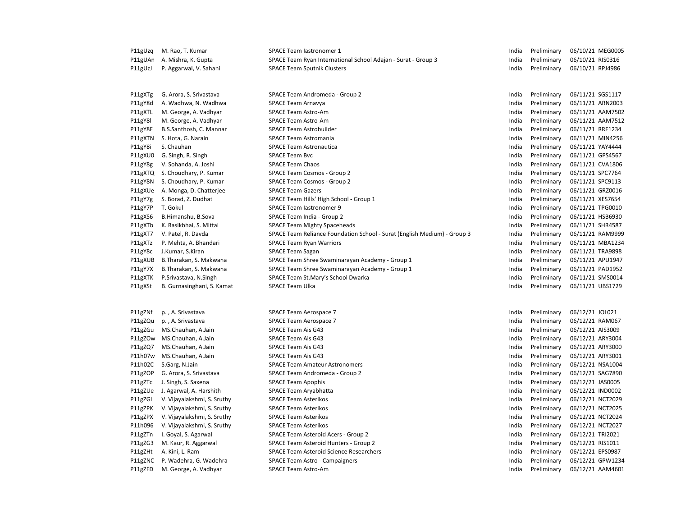| P11gUzq | M. Rao, T. Kumar            | SPACE Team lastronomer 1                                                 | India | Preliminary | 06/10/21 MEG0005 |
|---------|-----------------------------|--------------------------------------------------------------------------|-------|-------------|------------------|
| P11gUAn | A. Mishra, K. Gupta         | SPACE Team Ryan International School Adajan - Surat - Group 3            | India | Preliminary | 06/10/21 RIS0316 |
| P11gUzJ | P. Aggarwal, V. Sahani      | <b>SPACE Team Sputnik Clusters</b>                                       | India | Preliminary | 06/10/21 RPJ4986 |
| P11gXTg | G. Arora, S. Srivastava     | SPACE Team Andromeda - Group 2                                           | India | Preliminary | 06/11/21 SGS1117 |
| P11gY8d | A. Wadhwa, N. Wadhwa        | SPACE Team Arnavya                                                       | India | Preliminary | 06/11/21 ARN2003 |
| P11gXTL | M. George, A. Vadhyar       | <b>SPACE Team Astro-Am</b>                                               | India | Preliminary | 06/11/21 AAM7502 |
| P11gY8l | M. George, A. Vadhyar       | <b>SPACE Team Astro-Am</b>                                               | India | Preliminary | 06/11/21 AAM7512 |
| P11gY8F | B.S.Santhosh, C. Mannar     | <b>SPACE Team Astrobuilder</b>                                           | India | Preliminary | 06/11/21 RRF1234 |
| P11gXTN | S. Hota, G. Narain          | <b>SPACE Team Astromania</b>                                             | India | Preliminary | 06/11/21 MIN4256 |
| P11gY8i | S. Chauhan                  | <b>SPACE Team Astronautica</b>                                           | India | Preliminary | 06/11/21 YAY4444 |
| P11gXU0 | G. Singh, R. Singh          | <b>SPACE Team Bvc</b>                                                    | India | Preliminary | 06/11/21 GPS4567 |
| P11gY8g | V. Sohanda, A. Joshi        | <b>SPACE Team Chaos</b>                                                  | India | Preliminary | 06/11/21 CVA1806 |
| P11gXTQ | S. Choudhary, P. Kumar      | SPACE Team Cosmos - Group 2                                              | India | Preliminary | 06/11/21 SPC7764 |
| P11gY8N | S. Choudhary, P. Kumar      | SPACE Team Cosmos - Group 2                                              | India | Preliminary | 06/11/21 SPC9113 |
| P11gXUe | A. Monga, D. Chatterjee     | <b>SPACE Team Gazers</b>                                                 | India | Preliminary | 06/11/21 GRZ0016 |
| P11gY7g | S. Borad, Z. Dudhat         | SPACE Team Hills' High School - Group 1                                  | India | Preliminary | 06/11/21 XES7654 |
| P11gY7P | T. Gokul                    | SPACE Team lastronomer 9                                                 | India | Preliminary | 06/11/21 TPG0010 |
| P11gXS6 | B.Himanshu, B.Sova          | SPACE Team India - Group 2                                               | India | Preliminary | 06/11/21 HSB6930 |
| P11gXTb | K. Rasikbhai, S. Mittal     | <b>SPACE Team Mighty Spaceheads</b>                                      | India | Preliminary | 06/11/21 SHR4587 |
| P11gXT7 | V. Patel, R. Davda          | SPACE Team Reliance Foundation School - Surat (English Medium) - Group 3 | India | Preliminary | 06/11/21 RAM9999 |
| P11gXTz | P. Mehta, A. Bhandari       | <b>SPACE Team Ryan Warriors</b>                                          | India | Preliminary | 06/11/21 MBA1234 |
| P11gY8c | J.Kumar, S.Kiran            | <b>SPACE Team Sagan</b>                                                  | India | Preliminary | 06/11/21 TRA9898 |
| P11gXUB | B.Tharakan, S. Makwana      | SPACE Team Shree Swaminarayan Academy - Group 1                          | India | Preliminary | 06/11/21 APU1947 |
| P11gY7X | B.Tharakan, S. Makwana      | SPACE Team Shree Swaminarayan Academy - Group 1                          | India | Preliminary | 06/11/21 PAD1952 |
| P11gXTK | P.Srivastava, N.Singh       | SPACE Team St.Mary's School Dwarka                                       | India | Preliminary | 06/11/21 SMS0014 |
| P11gXSt | B. Gurnasinghani, S. Kamat  | <b>SPACE Team Ulka</b>                                                   | India | Preliminary | 06/11/21 UBS1729 |
|         |                             |                                                                          |       |             |                  |
| P11gZNf | p., A. Srivastava           | SPACE Team Aerospace 7                                                   | India | Preliminary | 06/12/21 JOL021  |
| P11gZQu | p., A. Srivastava           | SPACE Team Aerospace 7                                                   | India | Preliminary | 06/12/21 RAM067  |
| P11gZGu | MS.Chauhan, A.Jain          | SPACE Team Ais G43                                                       | India | Preliminary | 06/12/21 AIS3009 |
| P11gZOw | MS.Chauhan, A.Jain          | <b>SPACE Team Ais G43</b>                                                | India | Preliminary | 06/12/21 ARY3004 |
| P11gZQ7 | MS.Chauhan, A.Jain          | SPACE Team Ais G43                                                       | India | Preliminary | 06/12/21 ARY3000 |
| P11h07w | MS.Chauhan, A.Jain          | <b>SPACE Team Ais G43</b>                                                | India | Preliminary | 06/12/21 ARY3001 |
| P11h02C | S.Garg, N.Jain              | <b>SPACE Team Amateur Astronomers</b>                                    | India | Preliminary | 06/12/21 NSA1004 |
| P11gZOP | G. Arora, S. Srivastava     | SPACE Team Andromeda - Group 2                                           | India | Preliminary | 06/12/21 SAG7890 |
| P11gZTc | J. Singh, S. Saxena         | <b>SPACE Team Apophis</b>                                                | India | Preliminary | 06/12/21 JAS0005 |
| P11gZUe | J. Agarwal, A. Harshith     | SPACE Team Aryabhatta                                                    | India | Preliminary | 06/12/21 IND0002 |
| P11gZGL | V. Vijayalakshmi, S. Sruthy | <b>SPACE Team Asterikos</b>                                              | India | Preliminary | 06/12/21 NCT2029 |
| P11gZPK | V. Vijayalakshmi, S. Sruthy | <b>SPACE Team Asterikos</b>                                              | India | Preliminary | 06/12/21 NCT2025 |
| P11gZPX | V. Vijayalakshmi, S. Sruthy | <b>SPACE Team Asterikos</b>                                              | India | Preliminary | 06/12/21 NCT2024 |
| P11h096 | V. Vijayalakshmi, S. Sruthy | <b>SPACE Team Asterikos</b>                                              | India | Preliminary | 06/12/21 NCT2027 |
| P11gZTn | I. Goyal, S. Agarwal        | SPACE Team Asteroid Acers - Group 2                                      | India | Preliminary | 06/12/21 TRI2021 |
| P11gZG3 | M. Kaur, R. Aggarwal        | SPACE Team Asteroid Hunters - Group 2                                    | India | Preliminary | 06/12/21 RIS1011 |
| P11gZHt | A. Kini, L. Ram             | <b>SPACE Team Asteroid Science Researchers</b>                           | India | Preliminary | 06/12/21 EPS0987 |
| P11gZNC | P. Wadehra, G. Wadehra      | <b>SPACE Team Astro - Campaigners</b>                                    | India | Preliminary | 06/12/21 GPW1234 |
| P11gZFD | M. George, A. Vadhyar       | <b>SPACE Team Astro-Am</b>                                               | India | Preliminary | 06/12/21 AAM4601 |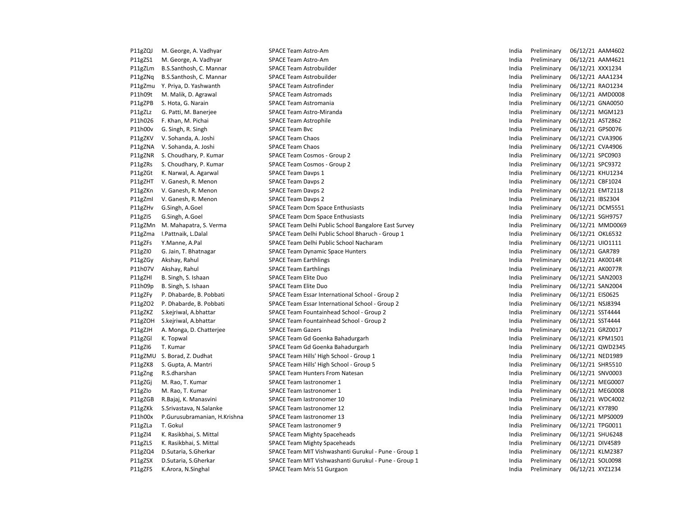| P11gZQJ | M. George, A. Vadhyar        | SPACE Team Astro-Am                                  | India | Preliminary |                  | 06/12/21 AAM4602 |
|---------|------------------------------|------------------------------------------------------|-------|-------------|------------------|------------------|
| P11gZS1 | M. George, A. Vadhyar        | <b>SPACE Team Astro-Am</b>                           | India | Preliminary |                  | 06/12/21 AAM4621 |
| P11gZLm | B.S.Santhosh, C. Mannar      | <b>SPACE Team Astrobuilder</b>                       | India | Preliminary | 06/12/21 XXX1234 |                  |
| P11gZNq | B.S.Santhosh, C. Mannar      | <b>SPACE Team Astrobuilder</b>                       | India | Preliminary |                  | 06/12/21 AAA1234 |
| P11gZmu | Y. Priya, D. Yashwanth       | <b>SPACE Team Astrofinder</b>                        | India | Preliminary |                  | 06/12/21 RAO1234 |
| P11h09t | M. Malik, D. Agrawal         | <b>SPACE Team Astromads</b>                          | India | Preliminary |                  | 06/12/21 AMD0008 |
| P11gZPB | S. Hota, G. Narain           | <b>SPACE Team Astromania</b>                         | India | Preliminary |                  | 06/12/21 GNA0050 |
| P11gZLz | G. Patti, M. Banerjee        | SPACE Team Astro-Miranda                             | India | Preliminary |                  | 06/12/21 MGM123  |
| P11h026 | F. Khan, M. Pichai           | <b>SPACE Team Astrophile</b>                         | India | Preliminary | 06/12/21 AST2862 |                  |
| P11h00v | G. Singh, R. Singh           | <b>SPACE Team Bvc</b>                                | India | Preliminary | 06/12/21 GPS0076 |                  |
| P11gZKV | V. Sohanda, A. Joshi         | <b>SPACE Team Chaos</b>                              | India | Preliminary | 06/12/21 CVA3906 |                  |
| P11gZNA | V. Sohanda, A. Joshi         | <b>SPACE Team Chaos</b>                              | India | Preliminary | 06/12/21 CVA4906 |                  |
| P11gZNR | S. Choudhary, P. Kumar       | SPACE Team Cosmos - Group 2                          | India | Preliminary | 06/12/21 SPC0903 |                  |
| P11gZRs | S. Choudhary, P. Kumar       | SPACE Team Cosmos - Group 2                          | India | Preliminary | 06/12/21 SPC9372 |                  |
| P11gZGt | K. Narwal, A. Agarwal        | <b>SPACE Team Davps 1</b>                            | India | Preliminary |                  | 06/12/21 KHU1234 |
| P11gZHT | V. Ganesh, R. Menon          | <b>SPACE Team Davps 2</b>                            | India | Preliminary | 06/12/21 CBF1024 |                  |
| P11gZKn | V. Ganesh, R. Menon          | <b>SPACE Team Davps 2</b>                            | India | Preliminary |                  | 06/12/21 EMT2118 |
| P11gZml | V. Ganesh, R. Menon          | <b>SPACE Team Davps 2</b>                            | India | Preliminary | 06/12/21 IBS2304 |                  |
| P11gZHv | G.Singh, A.Goel              | <b>SPACE Team Dcm Space Enthusiasts</b>              | India | Preliminary |                  | 06/12/21 DCM5551 |
| P11gZI5 | G.Singh, A.Goel              | <b>SPACE Team Dcm Space Enthusiasts</b>              | India | Preliminary |                  | 06/12/21 SGH9757 |
| P11gZMn | M. Mahapatra, S. Verma       | SPACE Team Delhi Public School Bangalore East Survey | India | Preliminary |                  | 06/12/21 MMD0069 |
| P11gZma | I.Pattnaik, L.Dalal          | SPACE Team Delhi Public School Bharuch - Group 1     | India | Preliminary | 06/12/21 OKL6532 |                  |
| P11gZFs | Y.Manne, A.Pal               | SPACE Team Delhi Public School Nacharam              | India | Preliminary | 06/12/21 UIO1111 |                  |
| P11gZI0 | G. Jain, T. Bhatnagar        | <b>SPACE Team Dynamic Space Hunters</b>              | India | Preliminary | 06/12/21 GAR789  |                  |
| P11gZGy | Akshay, Rahul                | <b>SPACE Team Earthlings</b>                         | India | Preliminary | 06/12/21 AK0014R |                  |
| P11h07V | Akshay, Rahul                | <b>SPACE Team Earthlings</b>                         | India | Preliminary | 06/12/21 AK0077R |                  |
| P11gZHI | B. Singh, S. Ishaan          | <b>SPACE Team Elite Duo</b>                          | India | Preliminary | 06/12/21 SAN2003 |                  |
| P11h09p | B. Singh, S. Ishaan          | <b>SPACE Team Elite Duo</b>                          | India | Preliminary | 06/12/21 SAN2004 |                  |
| P11gZFy | P. Dhabarde, B. Pobbati      | SPACE Team Essar International School - Group 2      | India | Preliminary | 06/12/21 EIS0625 |                  |
| P11gZO2 | P. Dhabarde, B. Pobbati      | SPACE Team Essar International School - Group 2      | India | Preliminary | 06/12/21 NSJ8394 |                  |
| P11gZKZ | S.kejriwal, A.bhattar        | SPACE Team Fountainhead School - Group 2             | India | Preliminary | 06/12/21 SST4444 |                  |
| P11gZOH | S.kejriwal, A.bhattar        | SPACE Team Fountainhead School - Group 2             | India | Preliminary | 06/12/21 SST4444 |                  |
| P11gZJH | A. Monga, D. Chatterjee      | <b>SPACE Team Gazers</b>                             | India | Preliminary | 06/12/21 GRZ0017 |                  |
| P11gZGI | K. Topwal                    | SPACE Team Gd Goenka Bahadurgarh                     | India | Preliminary |                  | 06/12/21 KPM1501 |
| P11gZI6 | T. Kumar                     | SPACE Team Gd Goenka Bahadurgarh                     | India | Preliminary |                  | 06/12/21 QWD2345 |
| P11gZMU | S. Borad, Z. Dudhat          | SPACE Team Hills' High School - Group 1              | India | Preliminary |                  | 06/12/21 NED1989 |
| P11gZK8 | S. Gupta, A. Mantri          | SPACE Team Hills' High School - Group 5              | India | Preliminary | 06/12/21 SHR5510 |                  |
| P11gZng | R.S.dharshan                 | <b>SPACE Team Hunters From Natesan</b>               | India | Preliminary | 06/12/21 SNV0003 |                  |
| P11gZGj | M. Rao, T. Kumar             | SPACE Team lastronomer 1                             | India | Preliminary |                  | 06/12/21 MEG0007 |
| P11gZlo | M. Rao, T. Kumar             | SPACE Team lastronomer 1                             | India | Preliminary |                  | 06/12/21 MEG0008 |
| P11gZGB | R.Bajaj, K. Manasvini        | SPACE Team lastronomer 10                            | India | Preliminary |                  | 06/12/21 WDC4002 |
| P11gZKk | S.Srivastava, N.Salanke      | SPACE Team lastronomer 12                            | India | Preliminary | 06/12/21 KY7890  |                  |
| P11h00x | P.Gurusubramanian, H.Krishna | SPACE Team lastronomer 13                            | India | Preliminary |                  | 06/12/21 MPS0009 |
| P11gZLa | T. Gokul                     | SPACE Team lastronomer 9                             | India | Preliminary | 06/12/21 TPG0011 |                  |
| P11gZI4 | K. Rasikbhai, S. Mittal      | <b>SPACE Team Mighty Spaceheads</b>                  | India | Preliminary |                  | 06/12/21 SHU6248 |
| P11gZLS | K. Rasikbhai, S. Mittal      | <b>SPACE Team Mighty Spaceheads</b>                  | India | Preliminary | 06/12/21 DIV4589 |                  |
| P11gZQ4 | D.Sutaria, S.Gherkar         | SPACE Team MIT Vishwashanti Gurukul - Pune - Group 1 | India | Preliminary |                  | 06/12/21 KLM2387 |
| P11gZSX | D.Sutaria, S.Gherkar         | SPACE Team MIT Vishwashanti Gurukul - Pune - Group 1 | India | Preliminary | 06/12/21 SOL0098 |                  |
| P11gZFS | K.Arora, N.Singhal           | SPACE Team Mris 51 Gurgaon                           | India | Preliminary | 06/12/21 XYZ1234 |                  |
|         |                              |                                                      |       |             |                  |                  |

| India | Preliminary | 06/12/21 | AAM4602        |
|-------|-------------|----------|----------------|
| India | Preliminary | 06/12/21 | AAM4621        |
| India | Preliminary | 06/12/21 | XXX1234        |
| India | Preliminary | 06/12/21 | AAA1234        |
| India | Preliminary | 06/12/21 | RA01234        |
| India | Preliminary | 06/12/21 | AMD0008        |
| India | Preliminary | 06/12/21 | GNA0050        |
| India | Preliminary | 06/12/21 | <b>MGM123</b>  |
| India | Preliminary | 06/12/21 | AST2862        |
| India | Preliminary | 06/12/21 | GPS0076        |
| India | Preliminary | 06/12/21 | CVA3906        |
| India | Preliminary | 06/12/21 | <b>CVA4906</b> |
| India | Preliminary | 06/12/21 | SPC0903        |
| India | Preliminary | 06/12/21 | SPC9372        |
| India | Preliminary | 06/12/21 | <b>KHU1234</b> |
| India | Preliminary | 06/12/21 | CBF1024        |
| India | Preliminary | 06/12/21 | <b>EMT2118</b> |
| India | Preliminary | 06/12/21 | <b>IBS2304</b> |
| India | Preliminary | 06/12/21 | <b>DCM5551</b> |
| India | Preliminary | 06/12/21 | SGH9757        |
| India | Preliminary | 06/12/21 | MMD0069        |
| India | Preliminary | 06/12/21 | <b>OKL6532</b> |
| India | Preliminary | 06/12/21 | UI01111        |
| India | Preliminary | 06/12/21 | <b>GAR789</b>  |
| India | Preliminary | 06/12/21 | AK0014R        |
| India | Preliminary | 06/12/21 | AK0077R        |
| India | Preliminary | 06/12/21 | SAN2003        |
| India | Preliminary | 06/12/21 | SAN2004        |
| India | Preliminary | 06/12/21 | EIS0625        |
| India | Preliminary | 06/12/21 | <b>NSJ8394</b> |
| India | Preliminary | 06/12/21 | SST4444        |
| India | Preliminary | 06/12/21 | SST4444        |
| India | Preliminary | 06/12/21 | GRZ0017        |
| India | Preliminary | 06/12/21 | KPM1501        |
| India | Preliminary | 06/12/21 | QWD2345        |
| India | Preliminary | 06/12/21 | <b>NED1989</b> |
| India | Preliminary | 06/12/21 | SHR5510        |
| India | Preliminary | 06/12/21 | SNV0003        |
| India | Preliminary | 06/12/21 | <b>MEG0007</b> |
| India | Preliminary | 06/12/21 | <b>MEG0008</b> |
| India | Preliminary | 06/12/21 | WDC4002        |
| India | Preliminary | 06/12/21 | KY7890         |
| India | Preliminary | 06/12/21 | MPS0009        |
| India | Preliminary | 06/12/21 | TPG0011        |
| India | Preliminary | 06/12/21 | SHU6248        |
| India | Preliminary | 06/12/21 | <b>DIV4589</b> |
| India | Preliminary | 06/12/21 | <b>KLM2387</b> |
| India | Preliminary | 06/12/21 | SOL0098        |
| India | Preliminary | 06/12/21 | XYZ1234        |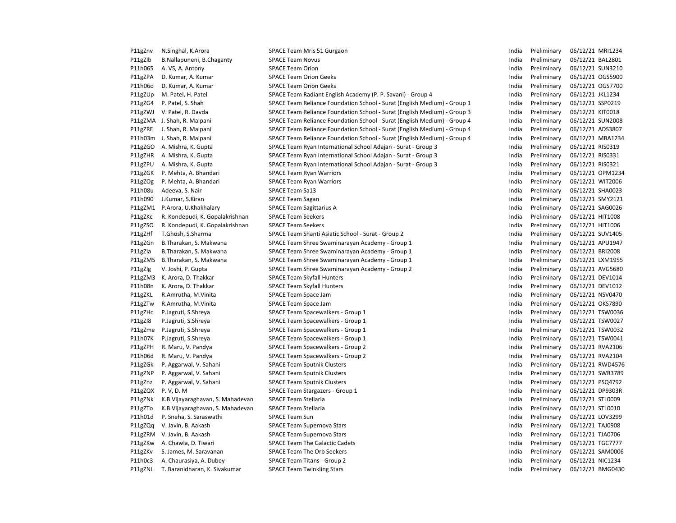| P11gZnv | N.Singhal, K.Arora                | SPACE Team Mris 51 Gurgaon                                               | India | Preliminary | 06/12/21 MRI1234 |
|---------|-----------------------------------|--------------------------------------------------------------------------|-------|-------------|------------------|
| P11gZlb | B.Nallapuneni, B.Chaganty         | <b>SPACE Team Novus</b>                                                  | India | Preliminary | 06/12/21 BAL2801 |
| P11h065 | A. VS, A. Antony                  | <b>SPACE Team Orion</b>                                                  | India | Preliminary | 06/12/21 SUN3210 |
| P11gZPA | D. Kumar, A. Kumar                | <b>SPACE Team Orion Geeks</b>                                            | India | Preliminary | 06/12/21 OGS5900 |
| P11h06o | D. Kumar, A. Kumar                | <b>SPACE Team Orion Geeks</b>                                            | India | Preliminary | 06/12/21 OGS7700 |
| P11gZUp | M. Patel, H. Patel                | SPACE Team Radiant English Academy (P. P. Savani) - Group 4              | India | Preliminary | 06/12/21 JKL1234 |
| P11gZG4 | P. Patel, S. Shah                 | SPACE Team Reliance Foundation School - Surat (English Medium) - Group 1 | India | Preliminary | 06/12/21 SSP0219 |
| P11gZWJ | V. Patel, R. Davda                | SPACE Team Reliance Foundation School - Surat (English Medium) - Group 3 | India | Preliminary | 06/12/21 KIT0018 |
| P11gZMA | J. Shah, R. Malpani               | SPACE Team Reliance Foundation School - Surat (English Medium) - Group 4 | India | Preliminary | 06/12/21 SUN2008 |
| P11gZRE | J. Shah, R. Malpani               | SPACE Team Reliance Foundation School - Surat (English Medium) - Group 4 | India | Preliminary | 06/12/21 ADS3807 |
| P11h03m | J. Shah, R. Malpani               | SPACE Team Reliance Foundation School - Surat (English Medium) - Group 4 | India | Preliminary | 06/12/21 MBA1234 |
| P11gZGO | A. Mishra, K. Gupta               | SPACE Team Ryan International School Adajan - Surat - Group 3            | India | Preliminary | 06/12/21 RIS0319 |
| P11gZHR | A. Mishra, K. Gupta               | SPACE Team Ryan International School Adajan - Surat - Group 3            | India | Preliminary | 06/12/21 RIS0331 |
| P11gZPU | A. Mishra, K. Gupta               | SPACE Team Ryan International School Adajan - Surat - Group 3            | India | Preliminary | 06/12/21 RIS0321 |
| P11gZGK | P. Mehta, A. Bhandari             | <b>SPACE Team Ryan Warriors</b>                                          | India | Preliminary | 06/12/21 OPM1234 |
| P11gZOg | P. Mehta, A. Bhandari             | <b>SPACE Team Ryan Warriors</b>                                          | India | Preliminary | 06/12/21 WIT2006 |
| P11h08u | Adeeva, S. Nair                   | SPACE Team Sa13                                                          | India | Preliminary | 06/12/21 SHA0023 |
| P11h090 | J.Kumar, S.Kiran                  | <b>SPACE Team Sagan</b>                                                  | India | Preliminary | 06/12/21 SMY2121 |
| P11gZM1 | P.Arora, U.Khakhalary             | <b>SPACE Team Sagittarius A</b>                                          | India | Preliminary | 06/12/21 SAG0026 |
| P11gZKc | R. Kondepudi, K. Gopalakrishnan   | <b>SPACE Team Seekers</b>                                                | India | Preliminary | 06/12/21 HIT1008 |
| P11gZSO | R. Kondepudi, K. Gopalakrishnan   | <b>SPACE Team Seekers</b>                                                | India | Preliminary | 06/12/21 HIT1006 |
| P11gZHf | T.Ghosh, S.Sharma                 | SPACE Team Shanti Asiatic School - Surat - Group 2                       | India | Preliminary | 06/12/21 SUV1405 |
| P11gZGn | B.Tharakan, S. Makwana            | SPACE Team Shree Swaminarayan Academy - Group 1                          | India | Preliminary | 06/12/21 APU1947 |
| P11gZla | B.Tharakan, S. Makwana            | SPACE Team Shree Swaminarayan Academy - Group 1                          | India | Preliminary | 06/12/21 BRI2008 |
| P11gZM5 | B.Tharakan, S. Makwana            | SPACE Team Shree Swaminarayan Academy - Group 1                          | India | Preliminary | 06/12/21 LXM1955 |
| P11gZlg | V. Joshi, P. Gupta                | SPACE Team Shree Swaminarayan Academy - Group 2                          | India | Preliminary | 06/12/21 AVG5680 |
| P11gZM3 | K. Arora, D. Thakkar              | <b>SPACE Team Skyfall Hunters</b>                                        | India | Preliminary | 06/12/21 DEV1014 |
| P11h08n | K. Arora, D. Thakkar              | <b>SPACE Team Skyfall Hunters</b>                                        | India | Preliminary | 06/12/21 DEV1012 |
| P11gZKL | R.Amrutha, M.Vinita               | SPACE Team Space Jam                                                     | India | Preliminary | 06/12/21 NSV0470 |
| P11gZTw | R.Amrutha, M.Vinita               | SPACE Team Space Jam                                                     | India | Preliminary | 06/12/21 OKS7890 |
| P11gZHc | P.Jagruti, S.Shreya               | SPACE Team Spacewalkers - Group 1                                        | India | Preliminary | 06/12/21 TSW0036 |
| P11gZI8 | P.Jagruti, S.Shreya               | SPACE Team Spacewalkers - Group 1                                        | India | Preliminary | 06/12/21 TSW0027 |
| P11gZme | P.Jagruti, S.Shreya               | SPACE Team Spacewalkers - Group 1                                        | India | Preliminary | 06/12/21 TSW0032 |
| P11h07K | P.Jagruti, S.Shreya               | SPACE Team Spacewalkers - Group 1                                        | India | Preliminary | 06/12/21 TSW0041 |
| P11gZPH | R. Maru, V. Pandya                | SPACE Team Spacewalkers - Group 2                                        | India | Preliminary | 06/12/21 RVA2106 |
| P11h06d | R. Maru, V. Pandya                | SPACE Team Spacewalkers - Group 2                                        | India | Preliminary | 06/12/21 RVA2104 |
| P11gZGk | P. Aggarwal, V. Sahani            | <b>SPACE Team Sputnik Clusters</b>                                       | India | Preliminary | 06/12/21 RWD4576 |
| P11gZNP | P. Aggarwal, V. Sahani            | <b>SPACE Team Sputnik Clusters</b>                                       | India | Preliminary | 06/12/21 SWR3789 |
| P11gZnz | P. Aggarwal, V. Sahani            | <b>SPACE Team Sputnik Clusters</b>                                       | India | Preliminary | 06/12/21 PSQ4792 |
| P11gZQX | P. V, D. M                        | SPACE Team Stargazers - Group 1                                          | India | Preliminary | 06/12/21 DP9303R |
| P11gZNk | K.B. Vijayaraghavan, S. Mahadevan | <b>SPACE Team Stellaria</b>                                              | India | Preliminary | 06/12/21 STL0009 |
| P11gZTo | K.B. Vijayaraghavan, S. Mahadevan | <b>SPACE Team Stellaria</b>                                              | India | Preliminary | 06/12/21 STL0010 |
| P11h01d | P. Sneha, S. Saraswathi           | <b>SPACE Team Sun</b>                                                    | India | Preliminary | 06/12/21 LOV3299 |
| P11gZQq | V. Javin, B. Aakash               | <b>SPACE Team Supernova Stars</b>                                        | India | Preliminary | 06/12/21 TAJ0908 |
| P11gZRM | V. Javin, B. Aakash               | <b>SPACE Team Supernova Stars</b>                                        | India | Preliminary | 06/12/21 TJA0706 |
| P11gZKw | A. Chawla, D. Tiwari              | <b>SPACE Team The Galactic Cadets</b>                                    | India | Preliminary | 06/12/21 TGC7777 |
| P11gZKv | S. James, M. Saravanan            | <b>SPACE Team The Orb Seekers</b>                                        | India | Preliminary | 06/12/21 SAM0006 |
| P11h0c3 | A. Chaurasiya, A. Dubey           | SPACE Team Titans - Group 2                                              | India | Preliminary | 06/12/21 NIC1234 |
| P11gZNL | T. Baranidharan, K. Sivakumar     | <b>SPACE Team Twinkling Stars</b>                                        | India | Preliminary | 06/12/21 BMG0430 |
|         |                                   |                                                                          |       |             |                  |